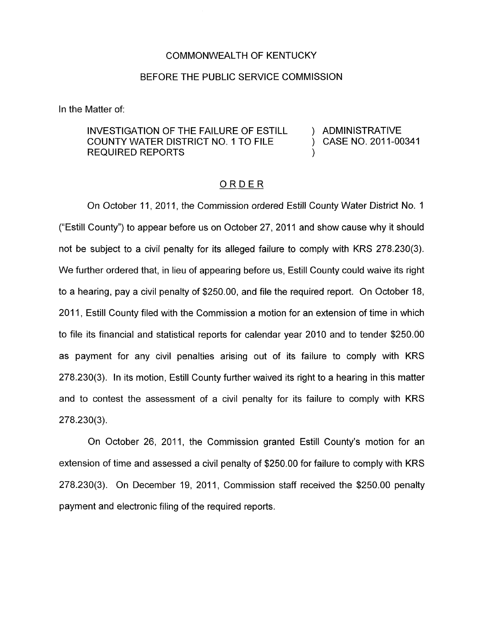## COMMONWEALTH OF KENTUCKY

## BEFORE THE PUBLIC SERVICE COMMISSION

In the Matter of:

## INVESTIGATION OF THE FAILURE OF ESTILL ) ADMINISTRATIVE COUNTY WATER DISTRICT NO. 1 TO FILE REQUIRED REPORTS

) CASE NO. 2011-00341

## ORDER

On October 11, 2011, the Commission ordered Estill County Water District No. 1 ("Estill County") to appear before us on October 27, 2011 and show cause why it should not be subject to a civil penalty for its alleged failure to comply with KRS 278.230(3). We further ordered that, in lieu of appearing before us, Estill County could waive its right to a hearing, pay a civil penalty of \$250.00, and file the required report. On October 18, 2011, Estill County filed with the Commission a motion for an extension of time in which to file its financial and statistical reports for calendar year 2010 and to tender \$250.00 as payment for any civil penalties arising out of its failure to comply with KRS 278.230(3). In its motion, Estill County further waived its right to a hearing in this matter and to contest the assessment of a civil penalty for its failure to comply with KRS  $278.230(3)$ .

On October 26, 2011, the Commission granted Estill County's motion for an extension of time and assessed a civil penalty of \$250.00 for failure to comply with KRS 278.230(3). On December 19, 2011, Commission staff received the \$250.00 penalty payment and electronic filing of the required reports.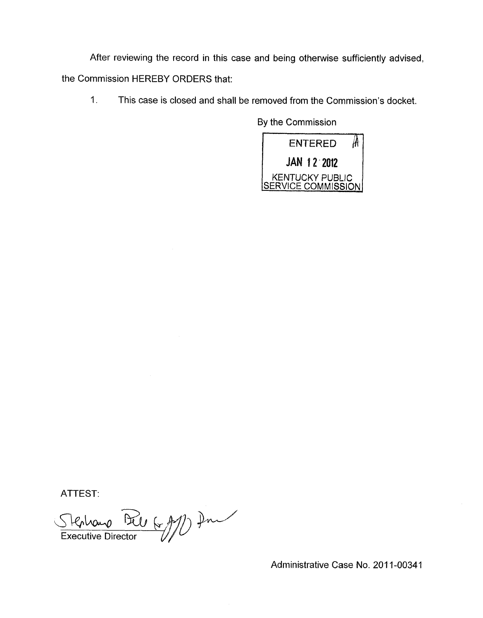After reviewing the record in this case and being otherwise sufficiently advised, the Commission HEREBY ORDERS that:

1 **I** This case is closed and shall be removed from the Commission's docket.

By the Commission



ATTEST:

Stephano Del<br>Executive Director

Administrative Case No. 201 1-00341